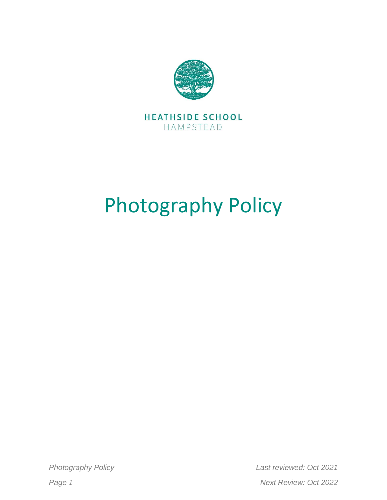

## Photography Policy

*Photography Policy Last reviewed: Oct 2021 Page 1 Next Review: Oct 2022*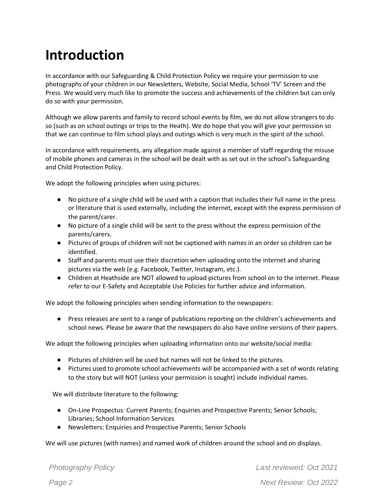## **Introduction**

In accordance with our Safeguarding & Child Protection Policy we require your permission to use photographs of your children in our Newsletters, Website, Social Media, School 'TV' Screen and the Press. We would very much like to promote the success and achievements of the children but can only do so with your permission.

Although we allow parents and family to record school events by film, we do not allow strangers to do so (such as on school outings or trips to the Heath). We do hope that you will give your permission so that we can continue to film school plays and outings which is very much in the spirit of the school.

In accordance with requirements, any allegation made against a member of staff regarding the misuse of mobile phones and cameras in the school will be dealt with as set out in the school's Safeguarding and Child Protection Policy.

We adopt the following principles when using pictures:

- No picture of a single child will be used with a caption that includes their full name in the press or literature that is used externally, including the internet, except with the express permission of the parent/carer.
- No picture of a single child will be sent to the press without the express permission of the parents/carers.
- Pictures of groups of children will not be captioned with names in an order so children can be identified.
- Staff and parents must use their discretion when uploading onto the internet and sharing pictures via the web (e.g. Facebook, Twitter, Instagram, etc.).
- Children at Heathside are NOT allowed to upload pictures from school on to the internet. Please refer to our E-Safety and Acceptable Use Policies for further advice and information.

We adopt the following principles when sending information to the newspapers:

● Press releases are sent to a range of publications reporting on the children's achievements and school news. Please be aware that the newspapers do also have online versions of their papers.

We adopt the following principles when uploading information onto our website/social media:

- Pictures of children will be used but names will not be linked to the pictures.
- Pictures used to promote school achievements will be accompanied with a set of words relating to the story but will NOT (unless your permission is sought) include individual names.

We will distribute literature to the following:

- On-Line Prospectus: Current Parents; Enquiries and Prospective Parents; Senior Schools; Libraries; School Information Services
- Newsletters: Enquiries and Prospective Parents; Senior Schools

We will use pictures (with names) and named work of children around the school and on displays.

| <b>Photography Policy</b> |  |
|---------------------------|--|
|                           |  |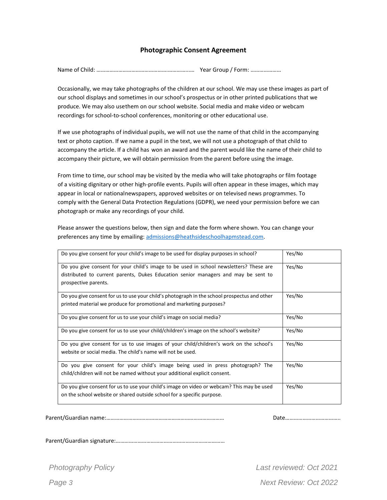## **Photographic Consent Agreement**

Name of Child: ………………………………………….…………...… Year Group / Form: …………………

Occasionally, we may take photographs of the children at our school. We may use these images as part of our school displays and sometimes in our school's prospectus or in other printed publications that we produce. We may also usethem on our school website. Social media and make video or webcam recordings for school-to-school conferences, monitoring or other educational use.

If we use photographs of individual pupils, we will not use the name of that child in the accompanying text or photo caption. If we name a pupil in the text, we will not use a photograph of that child to accompany the article. If a child has won an award and the parent would like the name of their child to accompany their picture, we will obtain permission from the parent before using the image.

From time to time, our school may be visited by the media who will take photographs or film footage of a visiting dignitary or other high-profile events. Pupils will often appear in these images, which may appear in local or nationalnewspapers, approved websites or on televised news programmes. To comply with the General Data Protection Regulations (GDPR), we need your permission before we can photograph or make any recordings of your child.

Please answer the questions below, then sign and date the form where shown. You can change your preferences any time by emailing: [admissions@heathsideschoolhapmstead.com.](mailto:admissions@heathsideschoolhapmstead.com)

| Do you give consent for your child's image to be used for display purposes in school?        | Yes/No |
|----------------------------------------------------------------------------------------------|--------|
|                                                                                              |        |
| Do you give consent for your child's image to be used in school newsletters? These are       | Yes/No |
| distributed to current parents, Dukes Education senior managers and may be sent to           |        |
| prospective parents.                                                                         |        |
| Do you give consent for us to use your child's photograph in the school prospectus and other | Yes/No |
| printed material we produce for promotional and marketing purposes?                          |        |
| Do you give consent for us to use your child's image on social media?                        | Yes/No |
| Do you give consent for us to use your child/children's image on the school's website?       | Yes/No |
| Do you give consent for us to use images of your child/children's work on the school's       | Yes/No |
| website or social media. The child's name will not be used.                                  |        |
| Do you give consent for your child's image being used in press photograph? The               | Yes/No |
| child/children will not be named without your additional explicit consent.                   |        |
| Do you give consent for us to use your child's image on video or webcam? This may be used    | Yes/No |
| on the school website or shared outside school for a specific purpose.                       |        |
|                                                                                              |        |

Parent/Guardian name:……………………………………………………………………… Date………………………………..

Parent/Guardian signature:…………………………………………………………………

*Photography Policy Last reviewed: Oct 2021 Page 3 Next Review: Oct 2022*